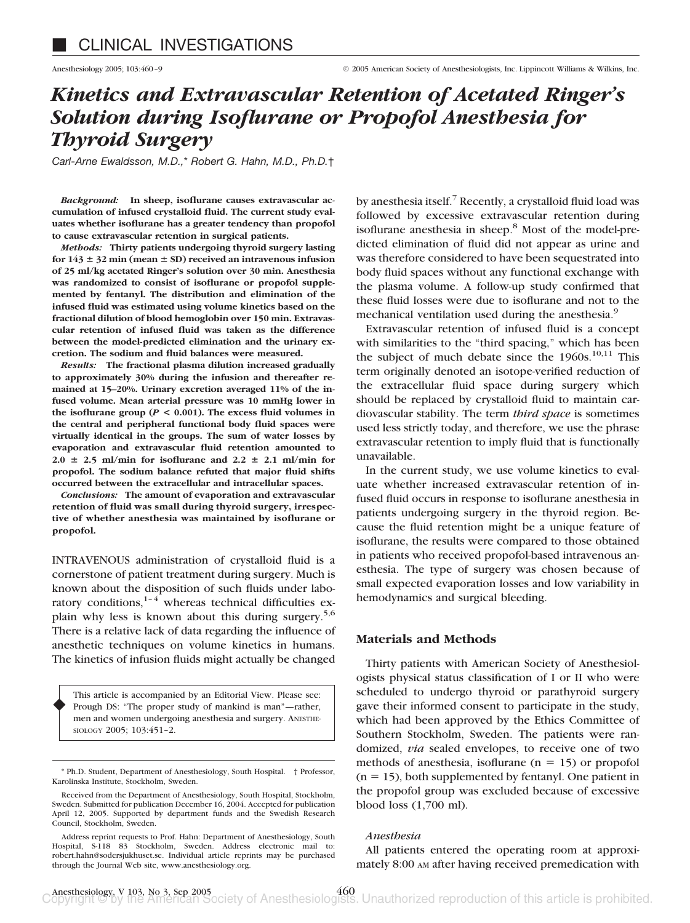# *Kinetics and Extravascular Retention of Acetated Ringer's Solution during Isoflurane or Propofol Anesthesia for Thyroid Surgery*

*Carl-Arne Ewaldsson, M.D.,*\* *Robert G. Hahn, M.D., Ph.D.*†

*Background:* **In sheep, isoflurane causes extravascular accumulation of infused crystalloid fluid. The current study evaluates whether isoflurane has a greater tendency than propofol to cause extravascular retention in surgical patients.**

*Methods:* **Thirty patients undergoing thyroid surgery lasting** for  $143 \pm 32$  min (mean  $\pm$  SD) received an intravenous infusion **of 25 ml/kg acetated Ringer's solution over 30 min. Anesthesia was randomized to consist of isoflurane or propofol supplemented by fentanyl. The distribution and elimination of the infused fluid was estimated using volume kinetics based on the fractional dilution of blood hemoglobin over 150 min. Extravascular retention of infused fluid was taken as the difference between the model-predicted elimination and the urinary excretion. The sodium and fluid balances were measured.**

*Results:* **The fractional plasma dilution increased gradually to approximately 30% during the infusion and thereafter remained at 15–20%. Urinary excretion averaged 11% of the infused volume. Mean arterial pressure was 10 mmHg lower in** the isoflurane group ( $P < 0.001$ ). The excess fluid volumes in **the central and peripheral functional body fluid spaces were virtually identical in the groups. The sum of water losses by evaporation and extravascular fluid retention amounted to**  $2.0 \pm 2.5$  ml/min for isoflurane and  $2.2 \pm 2.1$  ml/min for **propofol. The sodium balance refuted that major fluid shifts occurred between the extracellular and intracellular spaces.**

*Conclusions:* **The amount of evaporation and extravascular retention of fluid was small during thyroid surgery, irrespective of whether anesthesia was maintained by isoflurane or propofol.**

INTRAVENOUS administration of crystalloid fluid is a cornerstone of patient treatment during surgery. Much is known about the disposition of such fluids under laboratory conditions, $1-4$  whereas technical difficulties explain why less is known about this during surgery.5,6 There is a relative lack of data regarding the influence of anesthetic techniques on volume kinetics in humans. The kinetics of infusion fluids might actually be changed

This article is accompanied by an Editorial View. Please see: Prough DS: "The proper study of mankind is man"—rather, men and women undergoing anesthesia and surgery. ANESTHE-SIOLOGY 2005; 103:451–2. ♦

Address reprint requests to Prof. Hahn: Department of Anesthesiology, South Hospital, S-118 83 Stockholm, Sweden. Address electronic mail to: robert.hahn@sodersjukhuset.se. Individual article reprints may be purchased through the Journal Web site, www.anesthesiology.org.

by anesthesia itself.<sup>7</sup> Recently, a crystalloid fluid load was followed by excessive extravascular retention during isoflurane anesthesia in sheep.<sup>8</sup> Most of the model-predicted elimination of fluid did not appear as urine and was therefore considered to have been sequestrated into body fluid spaces without any functional exchange with the plasma volume. A follow-up study confirmed that these fluid losses were due to isoflurane and not to the mechanical ventilation used during the anesthesia.<sup>9</sup>

Extravascular retention of infused fluid is a concept with similarities to the "third spacing," which has been the subject of much debate since the  $1960s$ .<sup>10,11</sup> This term originally denoted an isotope-verified reduction of the extracellular fluid space during surgery which should be replaced by crystalloid fluid to maintain cardiovascular stability. The term *third space* is sometimes used less strictly today, and therefore, we use the phrase extravascular retention to imply fluid that is functionally unavailable.

In the current study, we use volume kinetics to evaluate whether increased extravascular retention of infused fluid occurs in response to isoflurane anesthesia in patients undergoing surgery in the thyroid region. Because the fluid retention might be a unique feature of isoflurane, the results were compared to those obtained in patients who received propofol-based intravenous anesthesia. The type of surgery was chosen because of small expected evaporation losses and low variability in hemodynamics and surgical bleeding.

# **Materials and Methods**

Thirty patients with American Society of Anesthesiologists physical status classification of I or II who were scheduled to undergo thyroid or parathyroid surgery gave their informed consent to participate in the study, which had been approved by the Ethics Committee of Southern Stockholm, Sweden. The patients were randomized, *via* sealed envelopes, to receive one of two methods of anesthesia, isoflurane ( $n = 15$ ) or propofol  $(n = 15)$ , both supplemented by fentanyl. One patient in the propofol group was excluded because of excessive blood loss (1,700 ml).

#### *Anesthesia*

All patients entered the operating room at approximately 8:00 AM after having received premedication with

<sup>\*</sup> Ph.D. Student, Department of Anesthesiology, South Hospital. † Professor, Karolinska Institute, Stockholm, Sweden.

Received from the Department of Anesthesiology, South Hospital, Stockholm, Sweden. Submitted for publication December 16, 2004. Accepted for publication April 12, 2005. Supported by department funds and the Swedish Research Council, Stockholm, Sweden.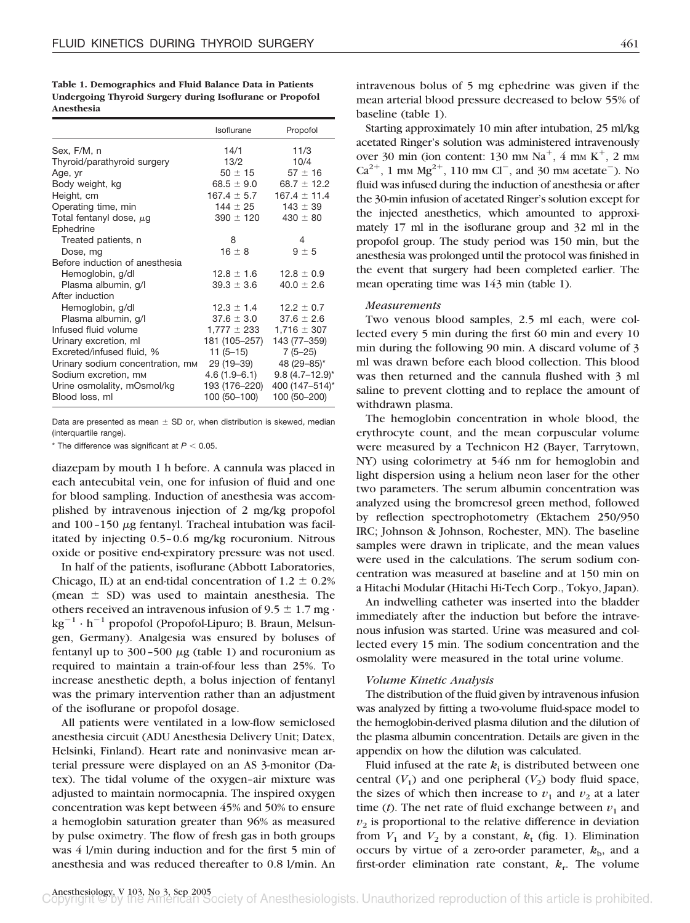| Table 1. Demographics and Fluid Balance Data in Patients |
|----------------------------------------------------------|
| Undergoing Thyroid Surgery during Isoflurane or Propofol |
| Anesthesia                                               |

|                                  | Isoflurane                | Propofol          |
|----------------------------------|---------------------------|-------------------|
| Sex, F/M, n                      | 14/1                      | 11/3              |
| Thyroid/parathyroid surgery      | 13/2                      | 10/4              |
| Age, yr                          | $50 \pm 15$               | $57 \pm 16$       |
| Body weight, kg                  | 68.5 $\pm$ 9.0 $^{\circ}$ | $68.7 \pm 12.2$   |
| Height, cm                       | $167.4 \pm 5.7$           | $167.4 \pm 11.4$  |
| Operating time, min              | $144 \pm 25$              | $143 \pm 39$      |
| Total fentanyl dose, $\mu$ g     | $390 \pm 120$             | $430 \pm 80$      |
| Ephedrine                        |                           |                   |
| Treated patients, n              | 8                         | 4                 |
| Dose, mg                         | $16 \pm 8$                | $9 \pm 5$         |
| Before induction of anesthesia   |                           |                   |
| Hemoglobin, g/dl                 | $12.8 \pm 1.6$            | $12.8 \pm 0.9$    |
| Plasma albumin, g/l              | $39.3 \pm 3.6$            | $40.0 \pm 2.6$    |
| After induction                  |                           |                   |
| Hemoglobin, g/dl                 | $12.3 \pm 1.4$            | $12.2 \pm 0.7$    |
| Plasma albumin, g/l              | $37.6 \pm 3.0$            | $37.6 \pm 2.6$    |
| Infused fluid volume             | $1,777 \pm 233$           | $1,716 \pm 307$   |
| Urinary excretion, ml            | 181 (105-257)             | 143 (77-359)      |
| Excreted/infused fluid, %        | $11(5-15)$                | $7(5-25)$         |
| Urinary sodium concentration, mm | 29 (19–39)                | 48 (29-85)*       |
| Sodium excretion, mm             | $4.6(1.9 - 6.1)$          | $9.8(4.7-12.9)$ * |
| Urine osmolality, mOsmol/kg      | 193 (176–220)             | 400 (147-514)*    |
| Blood loss, ml                   | 100 (50-100)              | 100 (50-200)      |

Data are presented as mean  $\pm$  SD or, when distribution is skewed, median (interquartile range).

 $*$  The difference was significant at  $P < 0.05$ .

diazepam by mouth 1 h before. A cannula was placed in each antecubital vein, one for infusion of fluid and one for blood sampling. Induction of anesthesia was accomplished by intravenous injection of 2 mg/kg propofol and  $100-150 \mu$ g fentanyl. Tracheal intubation was facilitated by injecting 0.5–0.6 mg/kg rocuronium. Nitrous oxide or positive end-expiratory pressure was not used.

In half of the patients, isoflurane (Abbott Laboratories, Chicago, IL) at an end-tidal concentration of  $1.2 \pm 0.2\%$ (mean  $\pm$  SD) was used to maintain anesthesia. The others received an intravenous infusion of  $9.5 \pm 1.7$  mg  $\cdot$  $kg^{-1} \cdot h^{-1}$  propofol (Propofol-Lipuro; B. Braun, Melsungen, Germany). Analgesia was ensured by boluses of fentanyl up to  $300-500 \mu$ g (table 1) and rocuronium as required to maintain a train-of-four less than 25%. To increase anesthetic depth, a bolus injection of fentanyl was the primary intervention rather than an adjustment of the isoflurane or propofol dosage.

All patients were ventilated in a low-flow semiclosed anesthesia circuit (ADU Anesthesia Delivery Unit; Datex, Helsinki, Finland). Heart rate and noninvasive mean arterial pressure were displayed on an AS 3-monitor (Datex). The tidal volume of the oxygen–air mixture was adjusted to maintain normocapnia. The inspired oxygen concentration was kept between 45% and 50% to ensure a hemoglobin saturation greater than 96% as measured by pulse oximetry. The flow of fresh gas in both groups was 4 l/min during induction and for the first 5 min of anesthesia and was reduced thereafter to 0.8 l/min. An intravenous bolus of 5 mg ephedrine was given if the mean arterial blood pressure decreased to below 55% of baseline (table 1).

Starting approximately 10 min after intubation, 25 ml/kg acetated Ringer's solution was administered intravenously over 30 min (ion content: 130 mm  $Na<sup>+</sup>$ , 4 mm  $K<sup>+</sup>$ , 2 mm  $Ca^{2+}$ , 1 mm  $Mg^{2+}$ , 110 mm Cl<sup>-</sup>, and 30 mm acetate<sup>-</sup>). No fluid was infused during the induction of anesthesia or after the 30-min infusion of acetated Ringer's solution except for the injected anesthetics, which amounted to approximately 17 ml in the isoflurane group and 32 ml in the propofol group. The study period was 150 min, but the anesthesia was prolonged until the protocol was finished in the event that surgery had been completed earlier. The mean operating time was 143 min (table 1).

## *Measurements*

Two venous blood samples, 2.5 ml each, were collected every 5 min during the first 60 min and every 10 min during the following 90 min. A discard volume of 3 ml was drawn before each blood collection. This blood was then returned and the cannula flushed with 3 ml saline to prevent clotting and to replace the amount of withdrawn plasma.

The hemoglobin concentration in whole blood, the erythrocyte count, and the mean corpuscular volume were measured by a Technicon H2 (Bayer, Tarrytown, NY) using colorimetry at 546 nm for hemoglobin and light dispersion using a helium neon laser for the other two parameters. The serum albumin concentration was analyzed using the bromcresol green method, followed by reflection spectrophotometry (Ektachem 250/950 IRC; Johnson & Johnson, Rochester, MN). The baseline samples were drawn in triplicate, and the mean values were used in the calculations. The serum sodium concentration was measured at baseline and at 150 min on a Hitachi Modular (Hitachi Hi-Tech Corp., Tokyo, Japan).

An indwelling catheter was inserted into the bladder immediately after the induction but before the intravenous infusion was started. Urine was measured and collected every 15 min. The sodium concentration and the osmolality were measured in the total urine volume.

### *Volume Kinetic Analysis*

The distribution of the fluid given by intravenous infusion was analyzed by fitting a two-volume fluid-space model to the hemoglobin-derived plasma dilution and the dilution of the plasma albumin concentration. Details are given in the appendix on how the dilution was calculated.

Fluid infused at the rate  $k_i$  is distributed between one central  $(V_1)$  and one peripheral  $(V_2)$  body fluid space, the sizes of which then increase to  $v_1$  and  $v_2$  at a later time  $(t)$ . The net rate of fluid exchange between  $v_1$  and  $v<sub>2</sub>$  is proportional to the relative difference in deviation from  $V_1$  and  $V_2$  by a constant,  $k_t$  (fig. 1). Elimination occurs by virtue of a zero-order parameter,  $k_{\rm b}$ , and a first-order elimination rate constant,  $k_r$ . The volume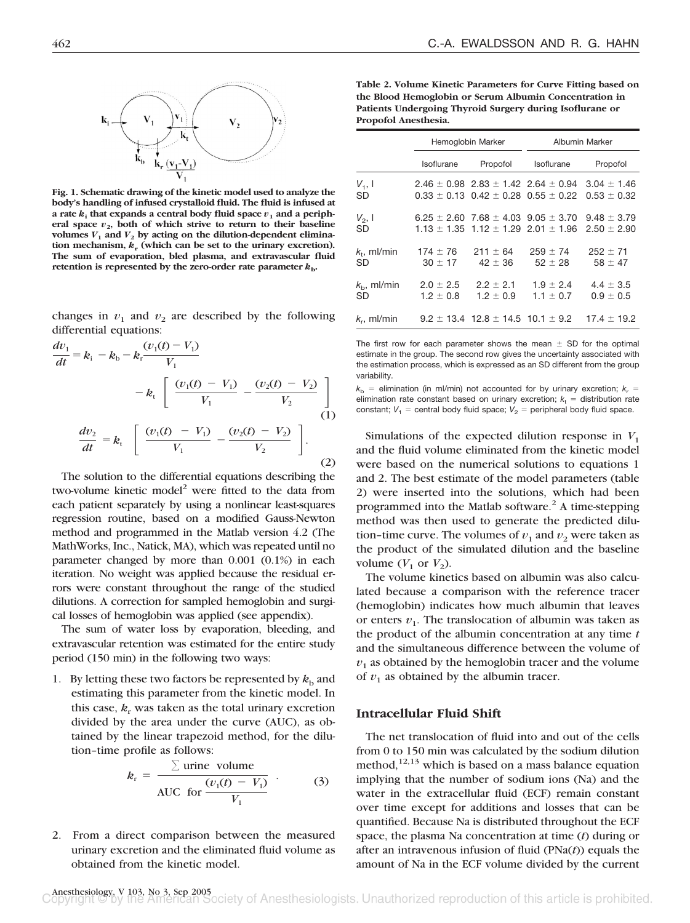

**Fig. 1. Schematic drawing of the kinetic model used to analyze the body's handling of infused crystalloid fluid. The fluid is infused at** a rate  $k_i$  that expands a central body fluid space  $v_i$  and a peripheral space  $v_2$ , both of which strive to return to their baseline volumes  $V_1$  and  $V_2$  by acting on the dilution-dependent elimination mechanism,  $k_r$  (which can be set to the urinary excretion). **The sum of evaporation, bled plasma, and extravascular fluid retention is represented by the zero-order rate parameter**  $k_{\rm b}$ **.** 

changes in  $v_1$  and  $v_2$  are described by the following differential equations:

$$
\frac{dv_1}{dt} = k_i - k_b - k_r \frac{(v_1(t) - V_1)}{V_1} - k_t \left[ \frac{(v_1(t) - V_1)}{V_1} - \frac{(v_2(t) - V_2)}{V_2} \right]
$$
\n
$$
\frac{dv_2}{dt} = k_t \left[ \frac{(v_1(t) - V_1)}{V_1} - \frac{(v_2(t) - V_2)}{V_2} \right].
$$
\n(2)

The solution to the differential equations describing the two-volume kinetic model<sup>2</sup> were fitted to the data from each patient separately by using a nonlinear least-squares regression routine, based on a modified Gauss-Newton method and programmed in the Matlab version 4.2 (The MathWorks, Inc., Natick, MA), which was repeated until no parameter changed by more than 0.001 (0.1%) in each iteration. No weight was applied because the residual errors were constant throughout the range of the studied dilutions. A correction for sampled hemoglobin and surgical losses of hemoglobin was applied (see appendix).

The sum of water loss by evaporation, bleeding, and extravascular retention was estimated for the entire study period (150 min) in the following two ways:

1. By letting these two factors be represented by  $k<sub>b</sub>$  and estimating this parameter from the kinetic model. In this case,  $k_r$  was taken as the total urinary excretion divided by the area under the curve (AUC), as obtained by the linear trapezoid method, for the dilution–time profile as follows:

$$
k_{\rm r} = \frac{\sum \text{urine volume}}{\text{AUC for } \frac{(v_1(t) - V_1)}{V_1}} \tag{3}
$$

2. From a direct comparison between the measured urinary excretion and the eliminated fluid volume as obtained from the kinetic model.

**Table 2. Volume Kinetic Parameters for Curve Fitting based on the Blood Hemoglobin or Serum Albumin Concentration in Patients Undergoing Thyroid Surgery during Isoflurane or Propofol Anesthesia.**

|                            | Hemoglobin Marker              |                                                                                                    | <b>Albumin Marker</b>                           |                                    |
|----------------------------|--------------------------------|----------------------------------------------------------------------------------------------------|-------------------------------------------------|------------------------------------|
|                            | Isoflurane                     | Propofol                                                                                           | Isoflurane                                      | Propofol                           |
| $V_1,$ 1<br>SD             |                                | $0.33 \pm 0.13$ $0.42 \pm 0.28$ $0.55 \pm 0.22$                                                    | $2.46 \pm 0.98$ 2.83 $\pm$ 1.42 2.64 $\pm$ 0.94 | $3.04 \pm 1.46$<br>$0.53 \pm 0.32$ |
| $V_2$ , I<br>SD            |                                | $6.25 \pm 2.60$ 7.68 $\pm$ 4.03 9.05 $\pm$ 3.70<br>$1.13 \pm 1.35$ $1.12 \pm 1.29$ $2.01 \pm 1.96$ |                                                 | $9.48 \pm 3.79$<br>$2.50 \pm 2.90$ |
| $k_t$ , ml/min<br>SD       | $174 \pm 76$<br>$30 \pm 17$    | $211 \pm 64$<br>$42 \pm 36$                                                                        | $259 \pm 74$<br>$52 \pm 28$                     | $252 \pm 71$<br>$58 \pm 47$        |
| $k_{\rm b}$ , ml/min<br>SD | $2.0 \pm 2.5$<br>$1.2 \pm 0.8$ | $2.2 + 2.1$<br>$1.2 \pm 0.9$                                                                       | $1.9 + 2.4$<br>$1.1 \pm 0.7$                    | $4.4 \pm 3.5$<br>$0.9 \pm 0.5$     |
| $k_{r}$ , ml/min           |                                | $9.2 \pm 13.4$ 12.8 $\pm$ 14.5 10.1 $\pm$ 9.2                                                      |                                                 | $17.4 \pm 19.2$                    |

The first row for each parameter shows the mean  $\pm$  SD for the optimal estimate in the group. The second row gives the uncertainty associated with the estimation process, which is expressed as an SD different from the group variability.

 $k<sub>b</sub>$  = elimination (in ml/min) not accounted for by urinary excretion;  $k<sub>r</sub>$  = elimination rate constant based on urinary excretion;  $k_t$  = distribution rate constant;  $V_1$  = central body fluid space;  $V_2$  = peripheral body fluid space.

Simulations of the expected dilution response in  $V_1$ and the fluid volume eliminated from the kinetic model were based on the numerical solutions to equations 1 and 2. The best estimate of the model parameters (table 2) were inserted into the solutions, which had been programmed into the Matlab software. $^2$  A time-stepping method was then used to generate the predicted dilution–time curve. The volumes of  $v_1$  and  $v_2$  were taken as the product of the simulated dilution and the baseline volume  $(V_1$  or  $V_2$ ).

The volume kinetics based on albumin was also calculated because a comparison with the reference tracer (hemoglobin) indicates how much albumin that leaves or enters  $v_1$ . The translocation of albumin was taken as the product of the albumin concentration at any time *t* and the simultaneous difference between the volume of  $v<sub>1</sub>$  as obtained by the hemoglobin tracer and the volume of  $v_1$  as obtained by the albumin tracer.

## **Intracellular Fluid Shift**

The net translocation of fluid into and out of the cells from 0 to 150 min was calculated by the sodium dilution method,  $12,13$  which is based on a mass balance equation implying that the number of sodium ions (Na) and the water in the extracellular fluid (ECF) remain constant over time except for additions and losses that can be quantified. Because Na is distributed throughout the ECF space, the plasma Na concentration at time (*t*) during or after an intravenous infusion of fluid (PNa(*t*)) equals the amount of Na in the ECF volume divided by the current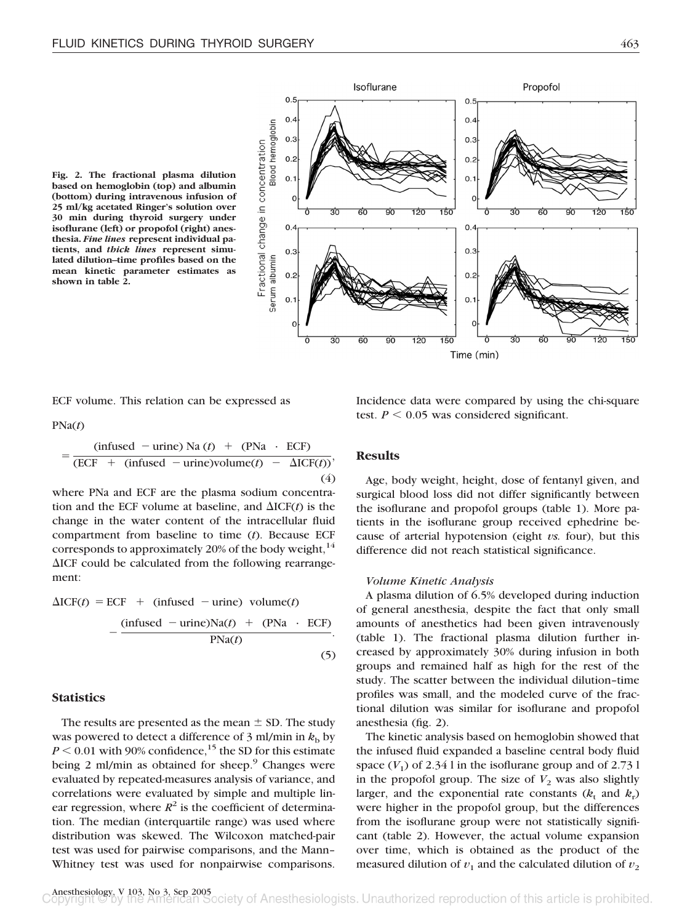**Fig. 2. The fractional plasma dilution based on hemoglobin (top) and albumin (bottom) during intravenous infusion of 25 ml/kg acetated Ringer's solution over 30 min during thyroid surgery under isoflurane (left) or propofol (right) anesthesia.** *Fine lines* **represent individual patients, and** *thick lines* **represent simulated dilution–time profiles based on the mean kinetic parameter estimates as shown in table 2.**



ECF volume. This relation can be expressed as

PNa(*t*)

$$
= \frac{\text{(infused - urine) Na (t)} + \text{(PNa \cdot ECF)}}{\text{(ECF + (infused - urine)volume(t)} - \Delta \text{ICF}(t))},\tag{4}
$$

where PNa and ECF are the plasma sodium concentration and the ECF volume at baseline, and  $\Delta ICF(t)$  is the change in the water content of the intracellular fluid compartment from baseline to time (*t*). Because ECF corresponds to approximately 20% of the body weight, $^{14}$  $\Delta ICF$  could be calculated from the following rearrangement:

$$
\Delta ICF(t) = ECF + (infused - urine) volume(t)
$$

$$
-\frac{(infused - urine)Na(t) + (PNa \cdot ECF)}{PNa(t)}.
$$
(5)

## **Statistics**

The results are presented as the mean  $\pm$  SD. The study was powered to detect a difference of 3 ml/min in  $k<sub>b</sub>$  by  $P \le 0.01$  with 90% confidence,<sup>15</sup> the SD for this estimate being 2 ml/min as obtained for sheep. $9$  Changes were evaluated by repeated-measures analysis of variance, and correlations were evaluated by simple and multiple linear regression, where  $R^2$  is the coefficient of determination. The median (interquartile range) was used where distribution was skewed. The Wilcoxon matched-pair test was used for pairwise comparisons, and the Mann– Whitney test was used for nonpairwise comparisons. Incidence data were compared by using the chi-square test.  $P \leq 0.05$  was considered significant.

# **Results**

Age, body weight, height, dose of fentanyl given, and surgical blood loss did not differ significantly between the isoflurane and propofol groups (table 1). More patients in the isoflurane group received ephedrine because of arterial hypotension (eight *vs.* four), but this difference did not reach statistical significance.

#### *Volume Kinetic Analysis*

A plasma dilution of 6.5% developed during induction of general anesthesia, despite the fact that only small amounts of anesthetics had been given intravenously (table 1). The fractional plasma dilution further increased by approximately 30% during infusion in both groups and remained half as high for the rest of the study. The scatter between the individual dilution–time profiles was small, and the modeled curve of the fractional dilution was similar for isoflurane and propofol anesthesia (fig. 2).

The kinetic analysis based on hemoglobin showed that the infused fluid expanded a baseline central body fluid space  $(V_1)$  of 2.34 l in the isoflurane group and of 2.73 l in the propofol group. The size of  $V_2$  was also slightly larger, and the exponential rate constants  $(k_t$  and  $k_t$ ) were higher in the propofol group, but the differences from the isoflurane group were not statistically significant (table 2). However, the actual volume expansion over time, which is obtained as the product of the measured dilution of  $v_1$  and the calculated dilution of  $v_2$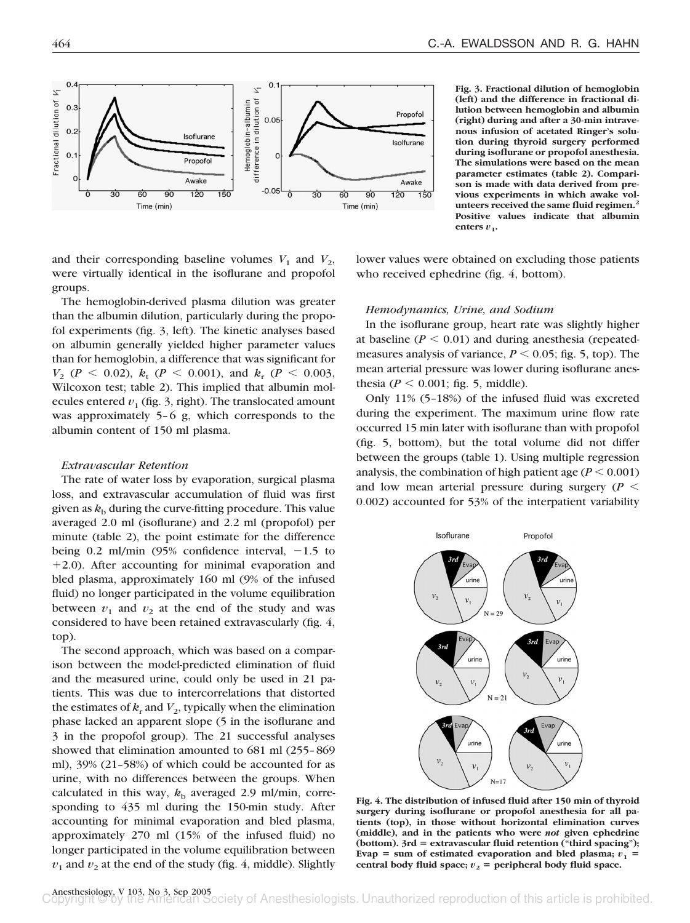

**Fig. 3. Fractional dilution of hemoglobin (left) and the difference in fractional dilution between hemoglobin and albumin (right) during and after a 30-min intravenous infusion of acetated Ringer's solution during thyroid surgery performed during isoflurane or propofol anesthesia. The simulations were based on the mean parameter estimates (table 2). Comparison is made with data derived from previous experiments in which awake volunteers received the same fluid regimen.2 Positive values indicate that albumin** enters  $v_1$ .

and their corresponding baseline volumes  $V_1$  and  $V_2$ , were virtually identical in the isoflurane and propofol groups.

The hemoglobin-derived plasma dilution was greater than the albumin dilution, particularly during the propofol experiments (fig. 3, left). The kinetic analyses based on albumin generally yielded higher parameter values than for hemoglobin, a difference that was significant for  $V_2$  (*P* < 0.02),  $k_t$  (*P* < 0.001), and  $k_r$  (*P* < 0.003, Wilcoxon test; table 2). This implied that albumin molecules entered  $v_1$  (fig. 3, right). The translocated amount was approximately 5–6 g, which corresponds to the albumin content of 150 ml plasma.

#### *Extravascular Retention*

The rate of water loss by evaporation, surgical plasma loss, and extravascular accumulation of fluid was first given as  $k<sub>b</sub>$  during the curve-fitting procedure. This value averaged 2.0 ml (isoflurane) and 2.2 ml (propofol) per minute (table 2), the point estimate for the difference being 0.2 ml/min  $(95\%$  confidence interval,  $-1.5$  to  $+2.0$ ). After accounting for minimal evaporation and bled plasma, approximately 160 ml (9% of the infused fluid) no longer participated in the volume equilibration between  $v_1$  and  $v_2$  at the end of the study and was considered to have been retained extravascularly (fig. 4, top).

The second approach, which was based on a comparison between the model-predicted elimination of fluid and the measured urine, could only be used in 21 patients. This was due to intercorrelations that distorted the estimates of  $k_r$  and  $V_2$ , typically when the elimination phase lacked an apparent slope (5 in the isoflurane and 3 in the propofol group). The 21 successful analyses showed that elimination amounted to 681 ml (255–869 ml), 39% (21–58%) of which could be accounted for as urine, with no differences between the groups. When calculated in this way,  $k<sub>b</sub>$  averaged 2.9 ml/min, corresponding to 435 ml during the 150-min study. After accounting for minimal evaporation and bled plasma, approximately 270 ml (15% of the infused fluid) no longer participated in the volume equilibration between  $v_1$  and  $v_2$  at the end of the study (fig. 4, middle). Slightly lower values were obtained on excluding those patients who received ephedrine (fig. 4, bottom).

#### *Hemodynamics, Urine, and Sodium*

In the isoflurane group, heart rate was slightly higher at baseline  $(P < 0.01)$  and during anesthesia (repeatedmeasures analysis of variance,  $P \le 0.05$ ; fig. 5, top). The mean arterial pressure was lower during isoflurane anesthesia ( $P \le 0.001$ ; fig. 5, middle).

Only 11% (5–18%) of the infused fluid was excreted during the experiment. The maximum urine flow rate occurred 15 min later with isoflurane than with propofol (fig. 5, bottom), but the total volume did not differ between the groups (table 1). Using multiple regression analysis, the combination of high patient age  $(P \le 0.001)$ and low mean arterial pressure during surgery  $(P \leq$ 0.002) accounted for 53% of the interpatient variability



**Fig. 4. The distribution of infused fluid after 150 min of thyroid surgery during isoflurane or propofol anesthesia for all patients (top), in those without horizontal elimination curves (middle), and in the patients who were** *not* **given ephedrine** (bottom). 3rd = extravascular fluid retention ("third spacing"); Evap = sum of estimated evaporation and bled plasma;  $v_1$  = central body fluid space;  $v_2$  = peripheral body fluid space.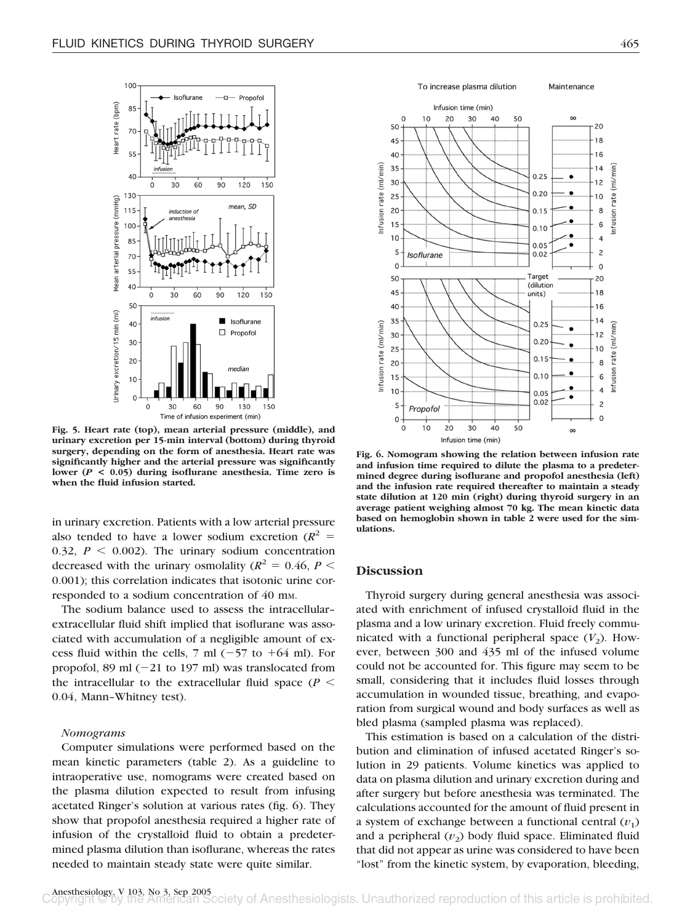

**Fig. 5. Heart rate (top), mean arterial pressure (middle), and urinary excretion per 15-min interval (bottom) during thyroid surgery, depending on the form of anesthesia. Heart rate was significantly higher and the arterial pressure was significantly lower (***P* **< 0.05) during isoflurane anesthesia. Time zero is when the fluid infusion started.**

in urinary excretion. Patients with a low arterial pressure also tended to have a lower sodium excretion  $(R^2 =$ 0.32,  $P \le 0.002$ ). The urinary sodium concentration decreased with the urinary osmolality ( $R^2 = 0.46$ ,  $P <$ 0.001); this correlation indicates that isotonic urine corresponded to a sodium concentration of 40 mM.

The sodium balance used to assess the intracellular– extracellular fluid shift implied that isoflurane was associated with accumulation of a negligible amount of excess fluid within the cells, 7 ml  $(-57$  to  $+64$  ml). For propofol, 89 ml  $(-21$  to 197 ml) was translocated from the intracellular to the extracellular fluid space  $(P \leq$ 0.04, Mann–Whitney test).

#### *Nomograms*

Computer simulations were performed based on the mean kinetic parameters (table 2). As a guideline to intraoperative use, nomograms were created based on the plasma dilution expected to result from infusing acetated Ringer's solution at various rates (fig. 6). They show that propofol anesthesia required a higher rate of infusion of the crystalloid fluid to obtain a predetermined plasma dilution than isoflurane, whereas the rates needed to maintain steady state were quite similar.

To increase plasma dilution Maintenance



**Fig. 6. Nomogram showing the relation between infusion rate and infusion time required to dilute the plasma to a predeter-**

**mined degree during isoflurane and propofol anesthesia (left) and the infusion rate required thereafter to maintain a steady state dilution at 120 min (right) during thyroid surgery in an average patient weighing almost 70 kg. The mean kinetic data based on hemoglobin shown in table 2 were used for the simulations.**

## **Discussion**

Thyroid surgery during general anesthesia was associated with enrichment of infused crystalloid fluid in the plasma and a low urinary excretion. Fluid freely communicated with a functional peripheral space  $(V_2)$ . However, between 300 and 435 ml of the infused volume could not be accounted for. This figure may seem to be small, considering that it includes fluid losses through accumulation in wounded tissue, breathing, and evaporation from surgical wound and body surfaces as well as bled plasma (sampled plasma was replaced).

This estimation is based on a calculation of the distribution and elimination of infused acetated Ringer's solution in 29 patients. Volume kinetics was applied to data on plasma dilution and urinary excretion during and after surgery but before anesthesia was terminated. The calculations accounted for the amount of fluid present in a system of exchange between a functional central  $(v_1)$ and a peripheral  $(v_2)$  body fluid space. Eliminated fluid that did not appear as urine was considered to have been "lost" from the kinetic system, by evaporation, bleeding,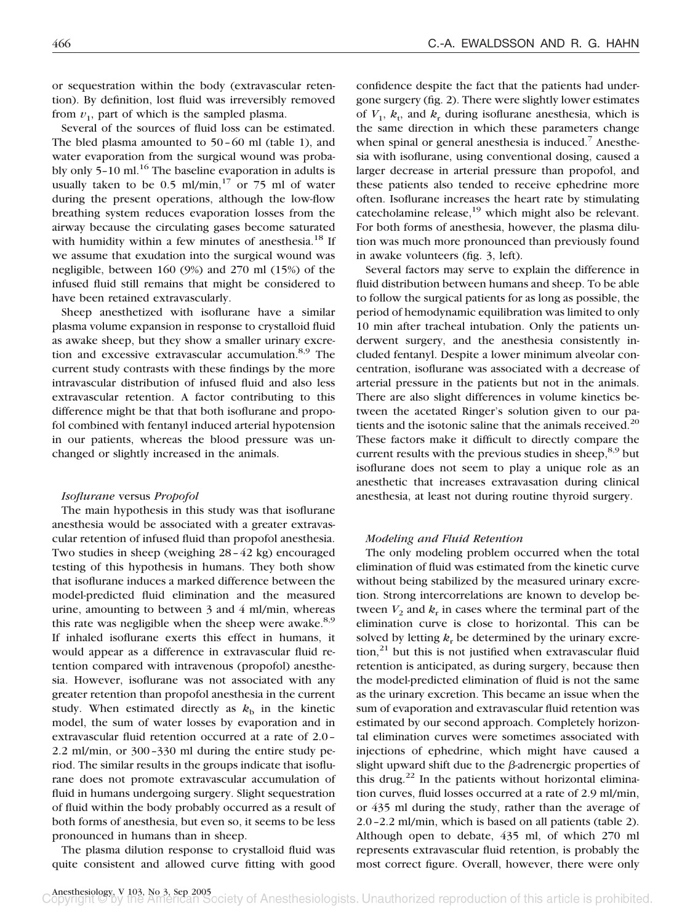or sequestration within the body (extravascular retention). By definition, lost fluid was irreversibly removed from  $v_1$ , part of which is the sampled plasma.

Several of the sources of fluid loss can be estimated. The bled plasma amounted to 50–60 ml (table 1), and water evaporation from the surgical wound was probably only  $5-10$  ml.<sup>16</sup> The baseline evaporation in adults is usually taken to be  $0.5 \text{ ml/min}$ ,<sup>17</sup> or 75 ml of water during the present operations, although the low-flow breathing system reduces evaporation losses from the airway because the circulating gases become saturated with humidity within a few minutes of anesthesia.<sup>18</sup> If we assume that exudation into the surgical wound was negligible, between 160 (9%) and 270 ml (15%) of the infused fluid still remains that might be considered to have been retained extravascularly.

Sheep anesthetized with isoflurane have a similar plasma volume expansion in response to crystalloid fluid as awake sheep, but they show a smaller urinary excretion and excessive extravascular accumulation.<sup>8,9</sup> The current study contrasts with these findings by the more intravascular distribution of infused fluid and also less extravascular retention. A factor contributing to this difference might be that that both isoflurane and propofol combined with fentanyl induced arterial hypotension in our patients, whereas the blood pressure was unchanged or slightly increased in the animals.

## *Isoflurane* versus *Propofol*

The main hypothesis in this study was that isoflurane anesthesia would be associated with a greater extravascular retention of infused fluid than propofol anesthesia. Two studies in sheep (weighing 28–42 kg) encouraged testing of this hypothesis in humans. They both show that isoflurane induces a marked difference between the model-predicted fluid elimination and the measured urine, amounting to between 3 and 4 ml/min, whereas this rate was negligible when the sheep were awake. $8.9$ If inhaled isoflurane exerts this effect in humans, it would appear as a difference in extravascular fluid retention compared with intravenous (propofol) anesthesia. However, isoflurane was not associated with any greater retention than propofol anesthesia in the current study. When estimated directly as  $k<sub>b</sub>$  in the kinetic model, the sum of water losses by evaporation and in extravascular fluid retention occurred at a rate of 2.0– 2.2 ml/min, or 300–330 ml during the entire study period. The similar results in the groups indicate that isoflurane does not promote extravascular accumulation of fluid in humans undergoing surgery. Slight sequestration of fluid within the body probably occurred as a result of both forms of anesthesia, but even so, it seems to be less pronounced in humans than in sheep.

The plasma dilution response to crystalloid fluid was quite consistent and allowed curve fitting with good confidence despite the fact that the patients had undergone surgery (fig. 2). There were slightly lower estimates of  $V_1$ ,  $k_t$ , and  $k_t$  during isoflurane anesthesia, which is the same direction in which these parameters change when spinal or general anesthesia is induced.<sup>7</sup> Anesthesia with isoflurane, using conventional dosing, caused a larger decrease in arterial pressure than propofol, and these patients also tended to receive ephedrine more often. Isoflurane increases the heart rate by stimulating catecholamine release, $^{19}$  which might also be relevant. For both forms of anesthesia, however, the plasma dilution was much more pronounced than previously found in awake volunteers (fig. 3, left).

Several factors may serve to explain the difference in fluid distribution between humans and sheep. To be able to follow the surgical patients for as long as possible, the period of hemodynamic equilibration was limited to only 10 min after tracheal intubation. Only the patients underwent surgery, and the anesthesia consistently included fentanyl. Despite a lower minimum alveolar concentration, isoflurane was associated with a decrease of arterial pressure in the patients but not in the animals. There are also slight differences in volume kinetics between the acetated Ringer's solution given to our patients and the isotonic saline that the animals received.<sup>20</sup> These factors make it difficult to directly compare the current results with the previous studies in sheep, $8.9$  but isoflurane does not seem to play a unique role as an anesthetic that increases extravasation during clinical anesthesia, at least not during routine thyroid surgery.

## *Modeling and Fluid Retention*

The only modeling problem occurred when the total elimination of fluid was estimated from the kinetic curve without being stabilized by the measured urinary excretion. Strong intercorrelations are known to develop between  $V_2$  and  $k_r$  in cases where the terminal part of the elimination curve is close to horizontal. This can be solved by letting  $k<sub>r</sub>$  be determined by the urinary excre- $\frac{1}{2}$  but this is not justified when extravascular fluid retention is anticipated, as during surgery, because then the model-predicted elimination of fluid is not the same as the urinary excretion. This became an issue when the sum of evaporation and extravascular fluid retention was estimated by our second approach. Completely horizontal elimination curves were sometimes associated with injections of ephedrine, which might have caused a slight upward shift due to the  $\beta$ -adrenergic properties of this drug.<sup>22</sup> In the patients without horizontal elimination curves, fluid losses occurred at a rate of 2.9 ml/min, or 435 ml during the study, rather than the average of 2.0–2.2 ml/min, which is based on all patients (table 2). Although open to debate, 435 ml, of which 270 ml represents extravascular fluid retention, is probably the most correct figure. Overall, however, there were only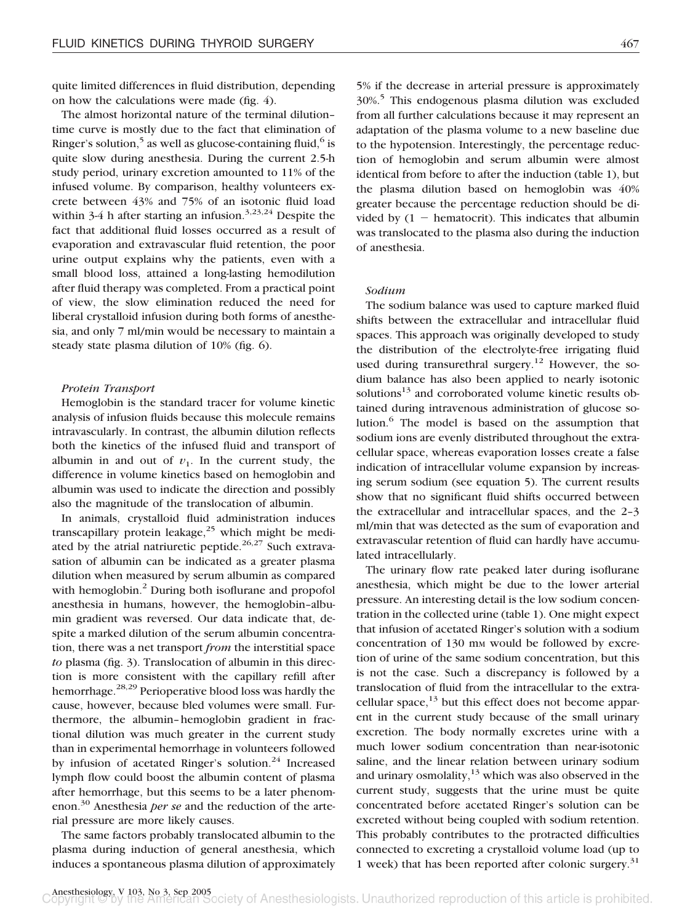quite limited differences in fluid distribution, depending on how the calculations were made (fig. 4).

The almost horizontal nature of the terminal dilution– time curve is mostly due to the fact that elimination of Ringer's solution,<sup>5</sup> as well as glucose-containing fluid, $6$  is quite slow during anesthesia. During the current 2.5-h study period, urinary excretion amounted to 11% of the infused volume. By comparison, healthy volunteers excrete between 43% and 75% of an isotonic fluid load within 3-4 h after starting an infusion.<sup>3,23,24</sup> Despite the fact that additional fluid losses occurred as a result of evaporation and extravascular fluid retention, the poor urine output explains why the patients, even with a small blood loss, attained a long-lasting hemodilution after fluid therapy was completed. From a practical point of view, the slow elimination reduced the need for liberal crystalloid infusion during both forms of anesthesia, and only 7 ml/min would be necessary to maintain a steady state plasma dilution of 10% (fig. 6).

## *Protein Transport*

Hemoglobin is the standard tracer for volume kinetic analysis of infusion fluids because this molecule remains intravascularly. In contrast, the albumin dilution reflects both the kinetics of the infused fluid and transport of albumin in and out of  $v_1$ . In the current study, the difference in volume kinetics based on hemoglobin and albumin was used to indicate the direction and possibly also the magnitude of the translocation of albumin.

In animals, crystalloid fluid administration induces transcapillary protein leakage, $25$  which might be mediated by the atrial natriuretic peptide.<sup>26,27</sup> Such extravasation of albumin can be indicated as a greater plasma dilution when measured by serum albumin as compared with hemoglobin.<sup>2</sup> During both isoflurane and propofol anesthesia in humans, however, the hemoglobin–albumin gradient was reversed. Our data indicate that, despite a marked dilution of the serum albumin concentration, there was a net transport *from* the interstitial space *to* plasma (fig. 3). Translocation of albumin in this direction is more consistent with the capillary refill after hemorrhage.<sup>28,29</sup> Perioperative blood loss was hardly the cause, however, because bled volumes were small. Furthermore, the albumin–hemoglobin gradient in fractional dilution was much greater in the current study than in experimental hemorrhage in volunteers followed by infusion of acetated Ringer's solution.<sup>24</sup> Increased lymph flow could boost the albumin content of plasma after hemorrhage, but this seems to be a later phenomenon.30 Anesthesia *per se* and the reduction of the arterial pressure are more likely causes.

The same factors probably translocated albumin to the plasma during induction of general anesthesia, which induces a spontaneous plasma dilution of approximately 5% if the decrease in arterial pressure is approximately 30%.5 This endogenous plasma dilution was excluded from all further calculations because it may represent an adaptation of the plasma volume to a new baseline due to the hypotension. Interestingly, the percentage reduction of hemoglobin and serum albumin were almost identical from before to after the induction (table 1), but the plasma dilution based on hemoglobin was 40% greater because the percentage reduction should be divided by  $(1 - \text{hematocrit})$ . This indicates that albumin was translocated to the plasma also during the induction of anesthesia.

## *Sodium*

The sodium balance was used to capture marked fluid shifts between the extracellular and intracellular fluid spaces. This approach was originally developed to study the distribution of the electrolyte-free irrigating fluid used during transurethral surgery.<sup>12</sup> However, the sodium balance has also been applied to nearly isotonic solutions<sup>13</sup> and corroborated volume kinetic results obtained during intravenous administration of glucose solution.<sup>6</sup> The model is based on the assumption that sodium ions are evenly distributed throughout the extracellular space, whereas evaporation losses create a false indication of intracellular volume expansion by increasing serum sodium (see equation 5). The current results show that no significant fluid shifts occurred between the extracellular and intracellular spaces, and the 2–3 ml/min that was detected as the sum of evaporation and extravascular retention of fluid can hardly have accumulated intracellularly.

The urinary flow rate peaked later during isoflurane anesthesia, which might be due to the lower arterial pressure. An interesting detail is the low sodium concentration in the collected urine (table 1). One might expect that infusion of acetated Ringer's solution with a sodium concentration of 130 mm would be followed by excretion of urine of the same sodium concentration, but this is not the case. Such a discrepancy is followed by a translocation of fluid from the intracellular to the extracellular space, $^{13}$  but this effect does not become apparent in the current study because of the small urinary excretion. The body normally excretes urine with a much lower sodium concentration than near-isotonic saline, and the linear relation between urinary sodium and urinary osmolality, $13$  which was also observed in the current study, suggests that the urine must be quite concentrated before acetated Ringer's solution can be excreted without being coupled with sodium retention. This probably contributes to the protracted difficulties connected to excreting a crystalloid volume load (up to 1 week) that has been reported after colonic surgery.<sup>31</sup>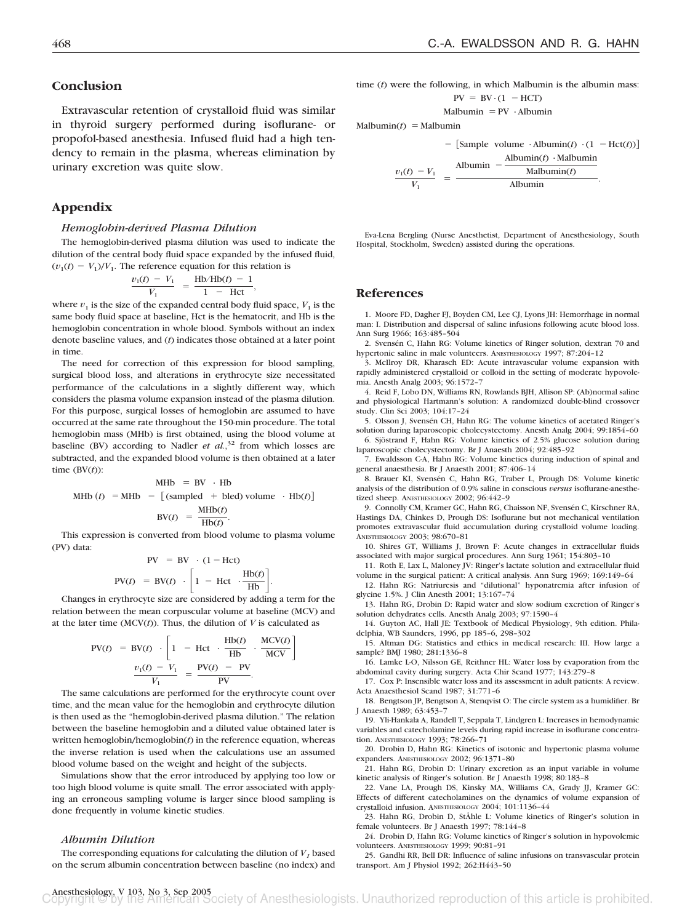## **Conclusion**

Extravascular retention of crystalloid fluid was similar in thyroid surgery performed during isoflurane- or propofol-based anesthesia. Infused fluid had a high tendency to remain in the plasma, whereas elimination by urinary excretion was quite slow.

## **Appendix**

#### *Hemoglobin-derived Plasma Dilution*

The hemoglobin-derived plasma dilution was used to indicate the dilution of the central body fluid space expanded by the infused fluid,  $(v_1(t) - V_1)/V_1$ . The reference equation for this relation is

$$
\frac{v_1(t) - V_1}{V_1} = \frac{\text{Hb/Hb}(t) - 1}{1 - \text{Hct}},
$$

where  $v_1$  is the size of the expanded central body fluid space,  $V_1$  is the same body fluid space at baseline, Hct is the hematocrit, and Hb is the hemoglobin concentration in whole blood. Symbols without an index denote baseline values, and (*t*) indicates those obtained at a later point in time.

The need for correction of this expression for blood sampling, surgical blood loss, and alterations in erythrocyte size necessitated performance of the calculations in a slightly different way, which considers the plasma volume expansion instead of the plasma dilution. For this purpose, surgical losses of hemoglobin are assumed to have occurred at the same rate throughout the 150-min procedure. The total hemoglobin mass (MHb) is first obtained, using the blood volume at baseline (BV) according to Nadler *et al.*<sup>32</sup> from which losses are subtracted, and the expanded blood volume is then obtained at a later time (BV(*t*)):

$$
MHD = BV \cdot Hb
$$
  
 
$$
MHD (t) = MHD - [(sampled + bled) volume \cdot Hb(t)]
$$
  
 
$$
BV(t) = \frac{MHD(t)}{Hb(t)}.
$$

This expression is converted from blood volume to plasma volume (PV) data:

$$
PV = BV \cdot (1 - Hct)
$$
  
 
$$
PV(t) = BV(t) \cdot \left[1 - Hct \cdot \frac{Hb(t)}{Hb}\right].
$$

Changes in erythrocyte size are considered by adding a term for the relation between the mean corpuscular volume at baseline (MCV) and at the later time  $(MCV(t))$ . Thus, the dilution of *V* is calculated as

$$
PV(t) = BV(t) \cdot \left[ 1 - Hct \cdot \frac{Hb(t)}{Hb} \cdot \frac{MCV(t)}{MCV} \right]
$$

$$
\frac{v_1(t) - V_1}{V_1} = \frac{PV(t) - PV}{PV}.
$$

The same calculations are performed for the erythrocyte count over time, and the mean value for the hemoglobin and erythrocyte dilution is then used as the "hemoglobin-derived plasma dilution." The relation between the baseline hemoglobin and a diluted value obtained later is written hemoglobin/hemoglobin(*t*) in the reference equation, whereas the inverse relation is used when the calculations use an assumed blood volume based on the weight and height of the subjects.

Simulations show that the error introduced by applying too low or too high blood volume is quite small. The error associated with applying an erroneous sampling volume is larger since blood sampling is done frequently in volume kinetic studies.

#### *Albumin Dilution*

The corresponding equations for calculating the dilution of  $V$ , based on the serum albumin concentration between baseline (no index) and time (*t*) were the following, in which Malbumin is the albumin mass:  $PV = BV \cdot (1 - HCT)$ 

$$
Malbumin = PV \cdot Albumin
$$

 $\text{Malbumin}(t) = \text{Malbumin}$ 

$$
-\left[\text{Sample volume} \cdot \text{Albumin}(t) \cdot (1 - \text{Hct}(t))\right]
$$

$$
\frac{v_1(t) - V_1}{V_1} = \frac{\text{Albumin} - \frac{\text{Albumin}(t) \cdot \text{Malbumin}}{\text{Malbumin}(t)}}{\text{Albumin}}.
$$

Eva-Lena Bergling (Nurse Anesthetist, Department of Anesthesiology, South Hospital, Stockholm, Sweden) assisted during the operations.

## **References**

1. Moore FD, Dagher FJ, Boyden CM, Lee CJ, Lyons JH: Hemorrhage in normal man: I. Distribution and dispersal of saline infusions following acute blood loss. Ann Surg 1966; 163:485–504

2. Svensén C, Hahn RG: Volume kinetics of Ringer solution, dextran 70 and hypertonic saline in male volunteers. ANESTHESIOLOGY 1997; 87:204–12

3. McIlroy DR, Kharasch ED: Acute intravascular volume expansion with rapidly administered crystalloid or colloid in the setting of moderate hypovolemia. Anesth Analg 2003; 96:1572–7

4. Reid F, Lobo DN, Williams RN, Rowlands BJH, Allison SP: (Ab)normal saline and physiological Hartmann's solution: A randomized double-blind crossover study. Clin Sci 2003; 104:17–24

5. Olsson J, Svensén CH, Hahn RG: The volume kinetics of acetated Ringer's solution during laparoscopic cholecystectomy. Anesth Analg 2004; 99:1854–60 6. Sjöstrand F, Hahn RG: Volume kinetics of 2.5% glucose solution during

laparoscopic cholecystectomy. Br J Anaesth 2004; 92:485–92

7. Ewaldsson C-A, Hahn RG: Volume kinetics during induction of spinal and general anaesthesia. Br J Anaesth 2001; 87:406–14

8. Brauer KI, Svensén C, Hahn RG, Traber L, Prough DS: Volume kinetic analysis of the distribution of 0.9% saline in conscious *versus* isoflurane-anesthetized sheep. ANESTHESIOLOGY 2002; 96:442–9

9. Connolly CM, Kramer GC, Hahn RG, Chaisson NF, Svensén C, Kirschner RA, Hastings DA, Chinkes D, Prough DS: Isoflurane but not mechanical ventilation promotes extravascular fluid accumulation during crystalloid volume loading. ANESTHESIOLOGY 2003; 98:670–81

10. Shires GT, Williams J, Brown F: Acute changes in extracellular fluids associated with major surgical procedures. Ann Surg 1961; 154:803–10

11. Roth E, Lax L, Maloney JV: Ringer's lactate solution and extracellular fluid volume in the surgical patient: A critical analysis. Ann Surg 1969; 169:149–64

12. Hahn RG: Natriuresis and "dilutional" hyponatremia after infusion of glycine 1.5%. J Clin Anesth 2001; 13:167–74

13. Hahn RG, Drobin D: Rapid water and slow sodium excretion of Ringer's solution dehydrates cells. Anesth Analg 2003; 97:1590–4

14. Guyton AC, Hall JE: Textbook of Medical Physiology, 9th edition. Philadelphia, WB Saunders, 1996, pp 185–6, 298–302

15. Altman DG: Statistics and ethics in medical research: III. How large a sample? BMJ 1980; 281:1336–8

16. Lamke L-O, Nilsson GE, Reithner HL: Water loss by evaporation from the abdominal cavity during surgery. Acta Chir Scand 1977; 143:279–8

17. Cox P: Insensible water loss and its assessment in adult patients: A review. Acta Anaesthesiol Scand 1987; 31:771–6

18. Bengtson JP, Bengtson A, Stenqvist O: The circle system as a humidifier. Br J Anaesth 1989; 63:453–7

19. Yli-Hankala A, Randell T, Seppala T, Lindgren L: Increases in hemodynamic variables and catecholamine levels during rapid increase in isoflurane concentration. ANESTHESIOLOGY 1993; 78:266–71

20. Drobin D, Hahn RG: Kinetics of isotonic and hypertonic plasma volume expanders. ANESTHESIOLOGY 2002; 96:1371–80

21. Hahn RG, Drobin D: Urinary excretion as an input variable in volume kinetic analysis of Ringer's solution. Br J Anaesth 1998; 80:183–8

22. Vane LA, Prough DS, Kinsky MA, Williams CA, Grady JJ, Kramer GC: Effects of different catecholamines on the dynamics of volume expansion of crystalloid infusion. ANESTHESIOLOGY 2004; 101:1136–44

23. Hahn RG, Drobin D, StÅhle L: Volume kinetics of Ringer's solution in female volunteers. Br J Anaesth 1997; 78:144–8

24. Drobin D, Hahn RG: Volume kinetics of Ringer's solution in hypovolemic volunteers. ANESTHESIOLOGY 1999; 90:81–91

25. Gandhi RR, Bell DR: Influence of saline infusions on transvascular protein transport. Am J Physiol 1992; 262:H443–50